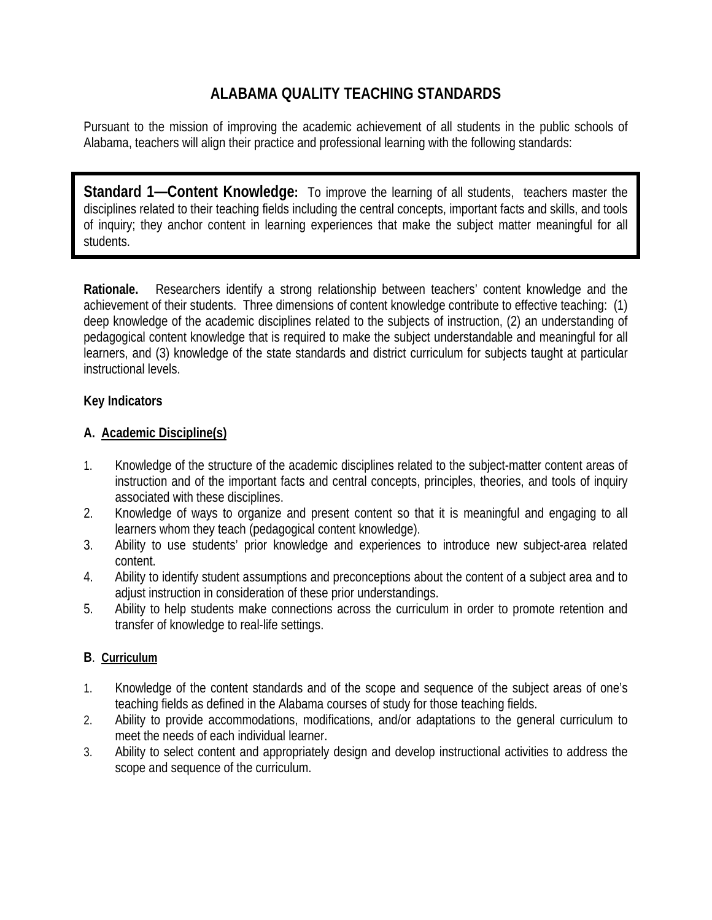# **ALABAMA QUALITY TEACHING STANDARDS**

Pursuant to the mission of improving the academic achievement of all students in the public schools of Alabama, teachers will align their practice and professional learning with the following standards:

**Standard 1—Content Knowledge:** To improve the learning of all students,teachers master the disciplines related to their teaching fields including the central concepts, important facts and skills, and tools of inquiry; they anchor content in learning experiences that make the subject matter meaningful for all students.

**Rationale.** Researchers identify a strong relationship between teachers' content knowledge and the achievement of their students. Three dimensions of content knowledge contribute to effective teaching: (1) deep knowledge of the academic disciplines related to the subjects of instruction, (2) an understanding of pedagogical content knowledge that is required to make the subject understandable and meaningful for all learners, and (3) knowledge of the state standards and district curriculum for subjects taught at particular instructional levels.

#### **Key Indicators**

#### **A. Academic Discipline(s)**

- 1. Knowledge of the structure of the academic disciplines related to the subject-matter content areas of instruction and of the important facts and central concepts, principles, theories, and tools of inquiry associated with these disciplines.
- 2. Knowledge of ways to organize and present content so that it is meaningful and engaging to all learners whom they teach (pedagogical content knowledge).
- 3. Ability to use students' prior knowledge and experiences to introduce new subject-area related content.
- 4. Ability to identify student assumptions and preconceptions about the content of a subject area and to adjust instruction in consideration of these prior understandings.
- 5. Ability to help students make connections across the curriculum in order to promote retention and transfer of knowledge to real-life settings.

### **B**. **Curriculum**

- 1. Knowledge of the content standards and of the scope and sequence of the subject areas of one's teaching fields as defined in the Alabama courses of study for those teaching fields.
- 2. Ability to provide accommodations, modifications, and/or adaptations to the general curriculum to meet the needs of each individual learner.
- 3. Ability to select content and appropriately design and develop instructional activities to address the scope and sequence of the curriculum.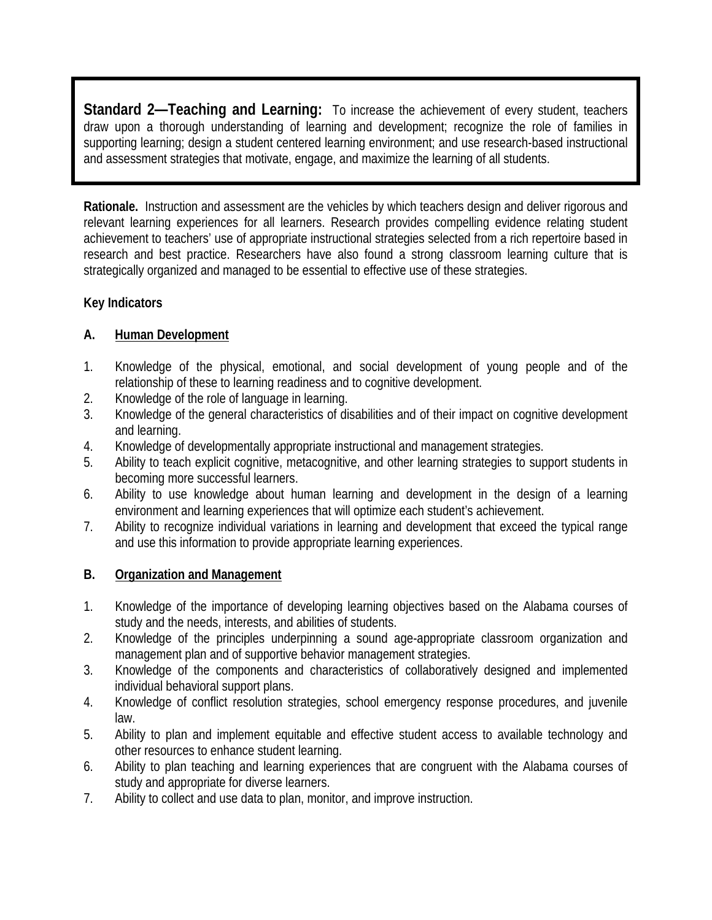**Standard 2—Teaching and Learning:** To increase the achievement of every student, teachers draw upon a thorough understanding of learning and development; recognize the role of families in supporting learning; design a student centered learning environment; and use research-based instructional and assessment strategies that motivate, engage, and maximize the learning of all students.

**Rationale.** Instruction and assessment are the vehicles by which teachers design and deliver rigorous and relevant learning experiences for all learners. Research provides compelling evidence relating student achievement to teachers' use of appropriate instructional strategies selected from a rich repertoire based in research and best practice. Researchers have also found a strong classroom learning culture that is strategically organized and managed to be essential to effective use of these strategies.

### **Key Indicators**

ı

## **A. Human Development**

- 1. Knowledge of the physical, emotional, and social development of young people and of the relationship of these to learning readiness and to cognitive development.
- 2. Knowledge of the role of language in learning.
- 3. Knowledge of the general characteristics of disabilities and of their impact on cognitive development and learning.
- 4. Knowledge of developmentally appropriate instructional and management strategies.
- 5. Ability to teach explicit cognitive, metacognitive, and other learning strategies to support students in becoming more successful learners.
- 6. Ability to use knowledge about human learning and development in the design of a learning environment and learning experiences that will optimize each student's achievement.
- 7. Ability to recognize individual variations in learning and development that exceed the typical range and use this information to provide appropriate learning experiences.

### **B. Organization and Management**

- 1. Knowledge of the importance of developing learning objectives based on the Alabama courses of study and the needs, interests, and abilities of students.
- 2. Knowledge of the principles underpinning a sound age-appropriate classroom organization and management plan and of supportive behavior management strategies.
- 3. Knowledge of the components and characteristics of collaboratively designed and implemented individual behavioral support plans.
- 4. Knowledge of conflict resolution strategies, school emergency response procedures, and juvenile law.
- 5. Ability to plan and implement equitable and effective student access to available technology and other resources to enhance student learning.
- 6. Ability to plan teaching and learning experiences that are congruent with the Alabama courses of study and appropriate for diverse learners.
- 7. Ability to collect and use data to plan, monitor, and improve instruction.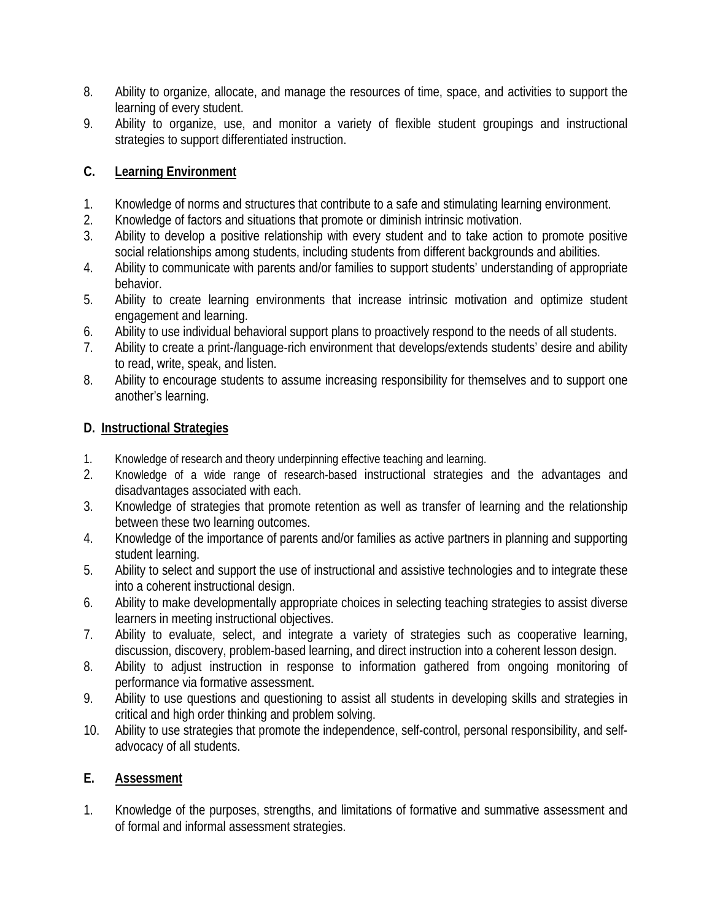- 8. Ability to organize, allocate, and manage the resources of time, space, and activities to support the learning of every student.
- 9. Ability to organize, use, and monitor a variety of flexible student groupings and instructional strategies to support differentiated instruction.

# **C. Learning Environment**

- 1. Knowledge of norms and structures that contribute to a safe and stimulating learning environment.
- 2. Knowledge of factors and situations that promote or diminish intrinsic motivation.
- 3. Ability to develop a positive relationship with every student and to take action to promote positive social relationships among students, including students from different backgrounds and abilities.
- 4. Ability to communicate with parents and/or families to support students' understanding of appropriate behavior.
- 5. Ability to create learning environments that increase intrinsic motivation and optimize student engagement and learning.
- 6. Ability to use individual behavioral support plans to proactively respond to the needs of all students.
- 7. Ability to create a print-/language-rich environment that develops/extends students' desire and ability to read, write, speak, and listen.
- 8. Ability to encourage students to assume increasing responsibility for themselves and to support one another's learning.

## **D. Instructional Strategies**

- 1. Knowledge of research and theory underpinning effective teaching and learning.
- 2. Knowledge of a wide range of research-based instructional strategies and the advantages and disadvantages associated with each.
- 3. Knowledge of strategies that promote retention as well as transfer of learning and the relationship between these two learning outcomes.
- 4. Knowledge of the importance of parents and/or families as active partners in planning and supporting student learning.
- 5. Ability to select and support the use of instructional and assistive technologies and to integrate these into a coherent instructional design.
- 6. Ability to make developmentally appropriate choices in selecting teaching strategies to assist diverse learners in meeting instructional objectives.
- 7. Ability to evaluate, select, and integrate a variety of strategies such as cooperative learning, discussion, discovery, problem-based learning, and direct instruction into a coherent lesson design.
- 8. Ability to adjust instruction in response to information gathered from ongoing monitoring of performance via formative assessment.
- 9. Ability to use questions and questioning to assist all students in developing skills and strategies in critical and high order thinking and problem solving.
- 10. Ability to use strategies that promote the independence, self-control, personal responsibility, and selfadvocacy of all students.

# **E. Assessment**

1. Knowledge of the purposes, strengths, and limitations of formative and summative assessment and of formal and informal assessment strategies.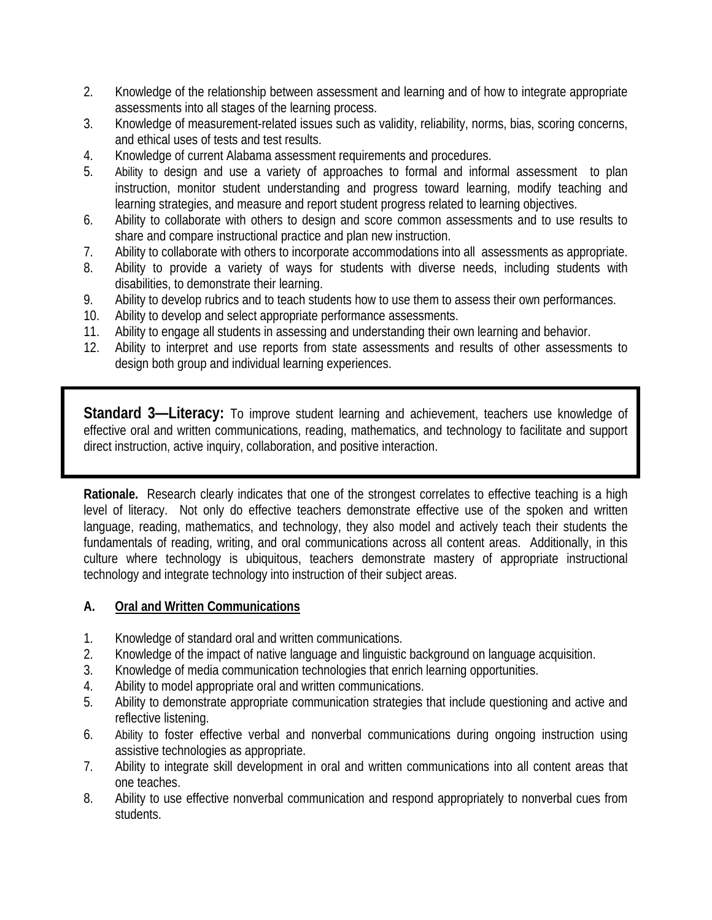- 2. Knowledge of the relationship between assessment and learning and of how to integrate appropriate assessments into all stages of the learning process.
- 3. Knowledge of measurement-related issues such as validity, reliability, norms, bias, scoring concerns, and ethical uses of tests and test results.
- 4. Knowledge of current Alabama assessment requirements and procedures.
- 5. Ability to design and use a variety of approaches to formal and informal assessment to plan instruction, monitor student understanding and progress toward learning, modify teaching and learning strategies, and measure and report student progress related to learning objectives.
- 6. Ability to collaborate with others to design and score common assessments and to use results to share and compare instructional practice and plan new instruction.
- 7. Ability to collaborate with others to incorporate accommodations into all assessments as appropriate.
- 8. Ability to provide a variety of ways for students with diverse needs, including students with disabilities, to demonstrate their learning.
- 9. Ability to develop rubrics and to teach students how to use them to assess their own performances.
- 10. Ability to develop and select appropriate performance assessments.
- 11. Ability to engage all students in assessing and understanding their own learning and behavior.
- 12. Ability to interpret and use reports from state assessments and results of other assessments to design both group and individual learning experiences.

**Standard 3—Literacy:** To improve student learning and achievement, teachers use knowledge of effective oral and written communications, reading, mathematics, and technology to facilitate and support direct instruction, active inquiry, collaboration, and positive interaction.

**Rationale.** Research clearly indicates that one of the strongest correlates to effective teaching is a high level of literacy. Not only do effective teachers demonstrate effective use of the spoken and written language, reading, mathematics, and technology, they also model and actively teach their students the fundamentals of reading, writing, and oral communications across all content areas. Additionally, in this culture where technology is ubiquitous, teachers demonstrate mastery of appropriate instructional technology and integrate technology into instruction of their subject areas.

### **A. Oral and Written Communications**

- 1. Knowledge of standard oral and written communications.
- 2. Knowledge of the impact of native language and linguistic background on language acquisition.
- 3. Knowledge of media communication technologies that enrich learning opportunities.
- 4. Ability to model appropriate oral and written communications.
- 5. Ability to demonstrate appropriate communication strategies that include questioning and active and reflective listening.
- 6. Ability to foster effective verbal and nonverbal communications during ongoing instruction using assistive technologies as appropriate.
- 7. Ability to integrate skill development in oral and written communications into all content areas that one teaches.
- 8. Ability to use effective nonverbal communication and respond appropriately to nonverbal cues from students.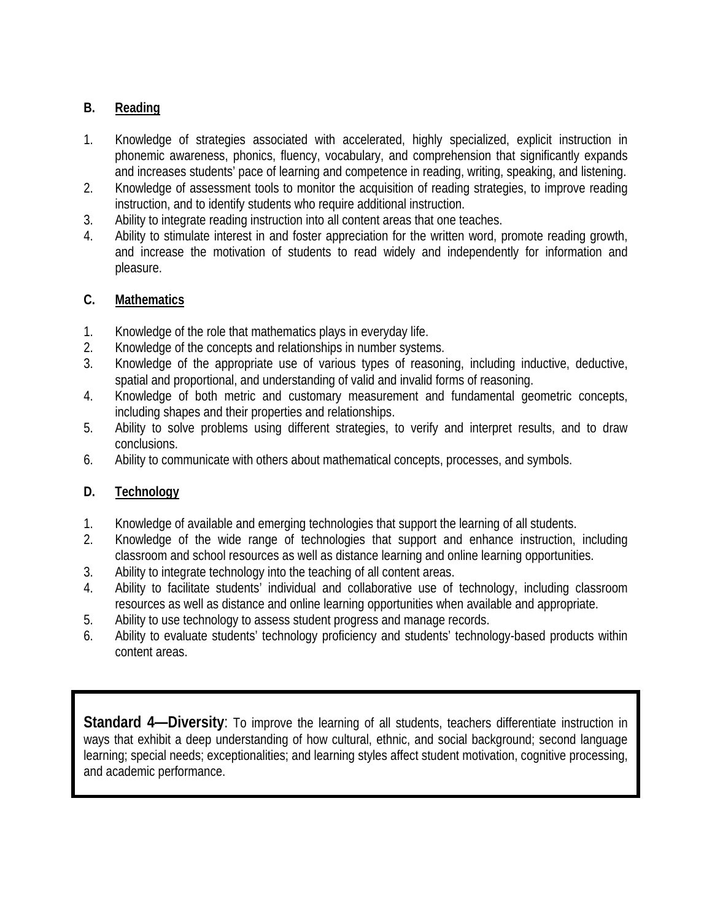# **B. Reading**

- 1. Knowledge of strategies associated with accelerated, highly specialized, explicit instruction in phonemic awareness, phonics, fluency, vocabulary, and comprehension that significantly expands and increases students' pace of learning and competence in reading, writing, speaking, and listening.
- 2. Knowledge of assessment tools to monitor the acquisition of reading strategies, to improve reading instruction, and to identify students who require additional instruction.
- 3. Ability to integrate reading instruction into all content areas that one teaches.
- 4. Ability to stimulate interest in and foster appreciation for the written word, promote reading growth, and increase the motivation of students to read widely and independently for information and pleasure.

### **C. Mathematics**

- 1. Knowledge of the role that mathematics plays in everyday life.
- 2. Knowledge of the concepts and relationships in number systems.
- 3. Knowledge of the appropriate use of various types of reasoning, including inductive, deductive, spatial and proportional, and understanding of valid and invalid forms of reasoning.
- 4. Knowledge of both metric and customary measurement and fundamental geometric concepts, including shapes and their properties and relationships.
- 5. Ability to solve problems using different strategies, to verify and interpret results, and to draw conclusions.
- 6. Ability to communicate with others about mathematical concepts, processes, and symbols.

# **D. Technology**

- 1. Knowledge of available and emerging technologies that support the learning of all students.
- 2. Knowledge of the wide range of technologies that support and enhance instruction, including classroom and school resources as well as distance learning and online learning opportunities.
- 3. Ability to integrate technology into the teaching of all content areas.
- 4. Ability to facilitate students' individual and collaborative use of technology, including classroom resources as well as distance and online learning opportunities when available and appropriate.
- 5. Ability to use technology to assess student progress and manage records.
- 6. Ability to evaluate students' technology proficiency and students' technology-based products within content areas.

**Standard 4—Diversity**: To improve the learning of all students, teachers differentiate instruction in ways that exhibit a deep understanding of how cultural, ethnic, and social background; second language learning; special needs; exceptionalities; and learning styles affect student motivation, cognitive processing, and academic performance.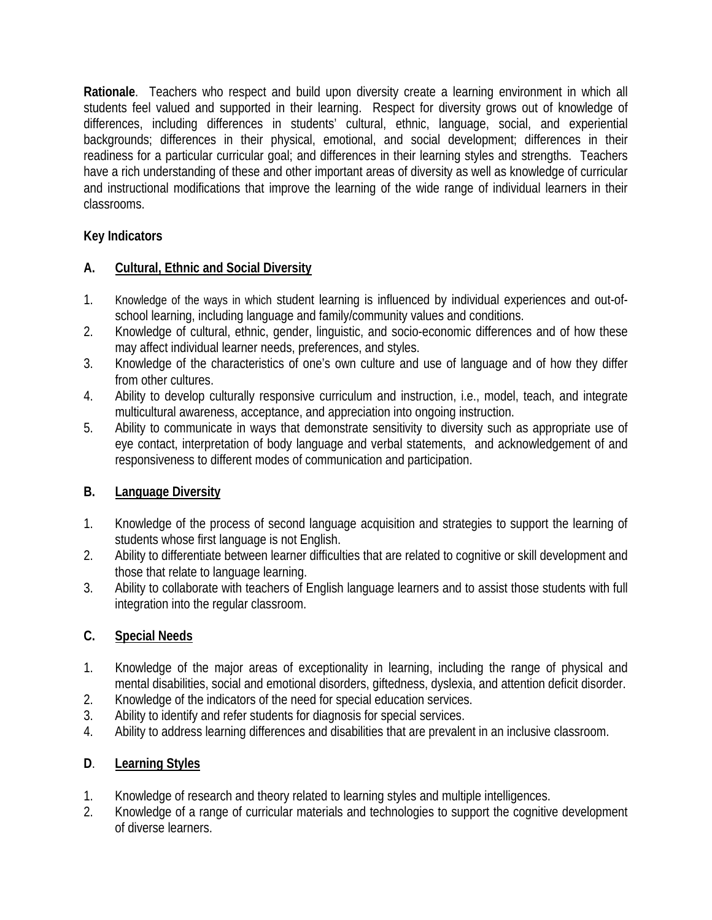**Rationale**. Teachers who respect and build upon diversity create a learning environment in which all students feel valued and supported in their learning. Respect for diversity grows out of knowledge of differences, including differences in students' cultural, ethnic, language, social, and experiential backgrounds; differences in their physical, emotional, and social development; differences in their readiness for a particular curricular goal; and differences in their learning styles and strengths. Teachers have a rich understanding of these and other important areas of diversity as well as knowledge of curricular and instructional modifications that improve the learning of the wide range of individual learners in their classrooms.

# **Key Indicators**

## **A. Cultural, Ethnic and Social Diversity**

- 1. Knowledge of the ways in which student learning is influenced by individual experiences and out-ofschool learning, including language and family/community values and conditions.
- 2. Knowledge of cultural, ethnic, gender, linguistic, and socio-economic differences and of how these may affect individual learner needs, preferences, and styles.
- 3. Knowledge of the characteristics of one's own culture and use of language and of how they differ from other cultures.
- 4. Ability to develop culturally responsive curriculum and instruction, i.e., model, teach, and integrate multicultural awareness, acceptance, and appreciation into ongoing instruction.
- 5. Ability to communicate in ways that demonstrate sensitivity to diversity such as appropriate use of eye contact, interpretation of body language and verbal statements, and acknowledgement of and responsiveness to different modes of communication and participation.

# **B. Language Diversity**

- 1. Knowledge of the process of second language acquisition and strategies to support the learning of students whose first language is not English.
- 2. Ability to differentiate between learner difficulties that are related to cognitive or skill development and those that relate to language learning.
- 3. Ability to collaborate with teachers of English language learners and to assist those students with full integration into the regular classroom.

### **C. Special Needs**

- 1. Knowledge of the major areas of exceptionality in learning, including the range of physical and mental disabilities, social and emotional disorders, giftedness, dyslexia, and attention deficit disorder.
- 2. Knowledge of the indicators of the need for special education services.
- 3. Ability to identify and refer students for diagnosis for special services.
- 4. Ability to address learning differences and disabilities that are prevalent in an inclusive classroom.

# **D**. **Learning Styles**

- 1. Knowledge of research and theory related to learning styles and multiple intelligences.
- 2. Knowledge of a range of curricular materials and technologies to support the cognitive development of diverse learners.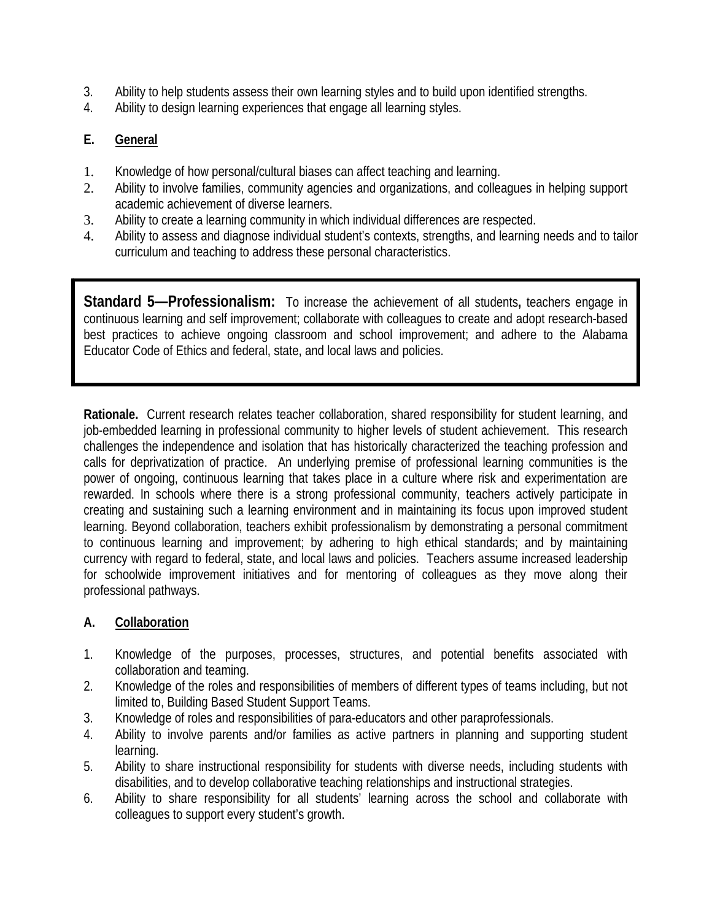- 3. Ability to help students assess their own learning styles and to build upon identified strengths.
- 4. Ability to design learning experiences that engage all learning styles.

### **E. General**

- 1. Knowledge of how personal/cultural biases can affect teaching and learning.
- 2. Ability to involve families, community agencies and organizations, and colleagues in helping support academic achievement of diverse learners.
- 3. Ability to create a learning community in which individual differences are respected.
- 4. Ability to assess and diagnose individual student's contexts, strengths, and learning needs and to tailor curriculum and teaching to address these personal characteristics.

**Standard 5—Professionalism:** To increase the achievement of all students**,** teachers engage in continuous learning and self improvement; collaborate with colleagues to create and adopt research-based best practices to achieve ongoing classroom and school improvement; and adhere to the Alabama Educator Code of Ethics and federal, state, and local laws and policies.

**Rationale.** Current research relates teacher collaboration, shared responsibility for student learning, and job-embedded learning in professional community to higher levels of student achievement. This research challenges the independence and isolation that has historically characterized the teaching profession and calls for deprivatization of practice. An underlying premise of professional learning communities is the power of ongoing, continuous learning that takes place in a culture where risk and experimentation are rewarded. In schools where there is a strong professional community, teachers actively participate in creating and sustaining such a learning environment and in maintaining its focus upon improved student learning. Beyond collaboration, teachers exhibit professionalism by demonstrating a personal commitment to continuous learning and improvement; by adhering to high ethical standards; and by maintaining currency with regard to federal, state, and local laws and policies. Teachers assume increased leadership for schoolwide improvement initiatives and for mentoring of colleagues as they move along their professional pathways.

### **A. Collaboration**

- 1. Knowledge of the purposes, processes, structures, and potential benefits associated with collaboration and teaming.
- 2. Knowledge of the roles and responsibilities of members of different types of teams including, but not limited to, Building Based Student Support Teams.
- 3. Knowledge of roles and responsibilities of para-educators and other paraprofessionals.
- 4. Ability to involve parents and/or families as active partners in planning and supporting student learning.
- 5. Ability to share instructional responsibility for students with diverse needs, including students with disabilities, and to develop collaborative teaching relationships and instructional strategies.
- 6. Ability to share responsibility for all students' learning across the school and collaborate with colleagues to support every student's growth.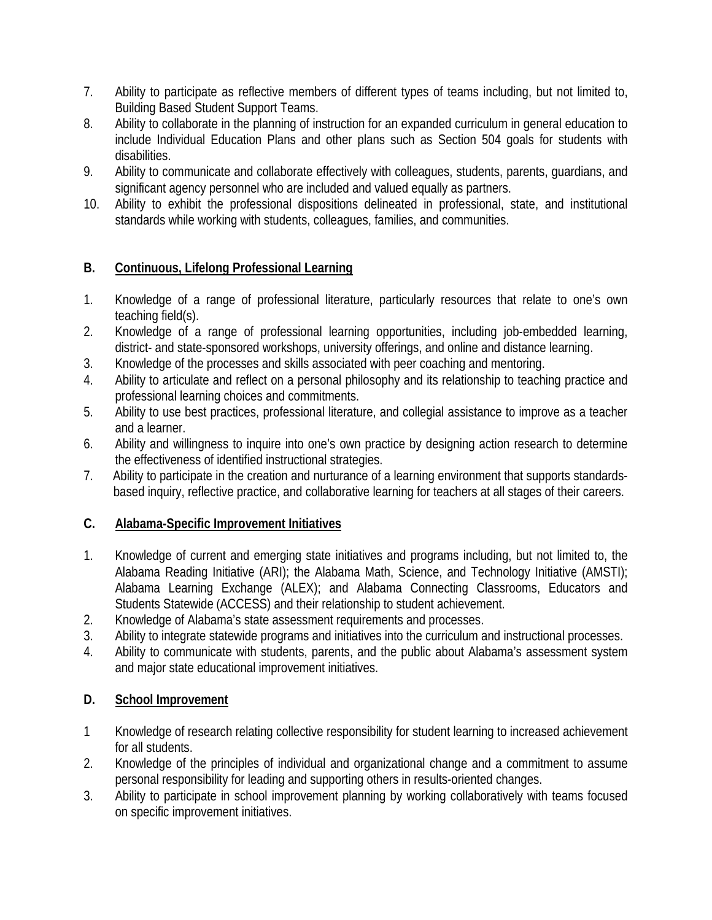- 7. Ability to participate as reflective members of different types of teams including, but not limited to, Building Based Student Support Teams.
- 8. Ability to collaborate in the planning of instruction for an expanded curriculum in general education to include Individual Education Plans and other plans such as Section 504 goals for students with disabilities.
- 9. Ability to communicate and collaborate effectively with colleagues, students, parents, guardians, and significant agency personnel who are included and valued equally as partners.
- 10. Ability to exhibit the professional dispositions delineated in professional, state, and institutional standards while working with students, colleagues, families, and communities.

## **B. Continuous, Lifelong Professional Learning**

- 1. Knowledge of a range of professional literature, particularly resources that relate to one's own teaching field(s).
- 2. Knowledge of a range of professional learning opportunities, including job-embedded learning, district- and state-sponsored workshops, university offerings, and online and distance learning.
- 3. Knowledge of the processes and skills associated with peer coaching and mentoring.
- 4. Ability to articulate and reflect on a personal philosophy and its relationship to teaching practice and professional learning choices and commitments.
- 5. Ability to use best practices, professional literature, and collegial assistance to improve as a teacher and a learner.
- 6. Ability and willingness to inquire into one's own practice by designing action research to determine the effectiveness of identified instructional strategies.
- 7. Ability to participate in the creation and nurturance of a learning environment that supports standardsbased inquiry, reflective practice, and collaborative learning for teachers at all stages of their careers.

### **C. Alabama-Specific Improvement Initiatives**

- 1. Knowledge of current and emerging state initiatives and programs including, but not limited to, the Alabama Reading Initiative (ARI); the Alabama Math, Science, and Technology Initiative (AMSTI); Alabama Learning Exchange (ALEX); and Alabama Connecting Classrooms, Educators and Students Statewide (ACCESS) and their relationship to student achievement.
- 2. Knowledge of Alabama's state assessment requirements and processes.
- 3. Ability to integrate statewide programs and initiatives into the curriculum and instructional processes.
- 4. Ability to communicate with students, parents, and the public about Alabama's assessment system and major state educational improvement initiatives.

### **D. School Improvement**

- 1 Knowledge of research relating collective responsibility for student learning to increased achievement for all students.
- 2. Knowledge of the principles of individual and organizational change and a commitment to assume personal responsibility for leading and supporting others in results-oriented changes.
- 3. Ability to participate in school improvement planning by working collaboratively with teams focused on specific improvement initiatives.